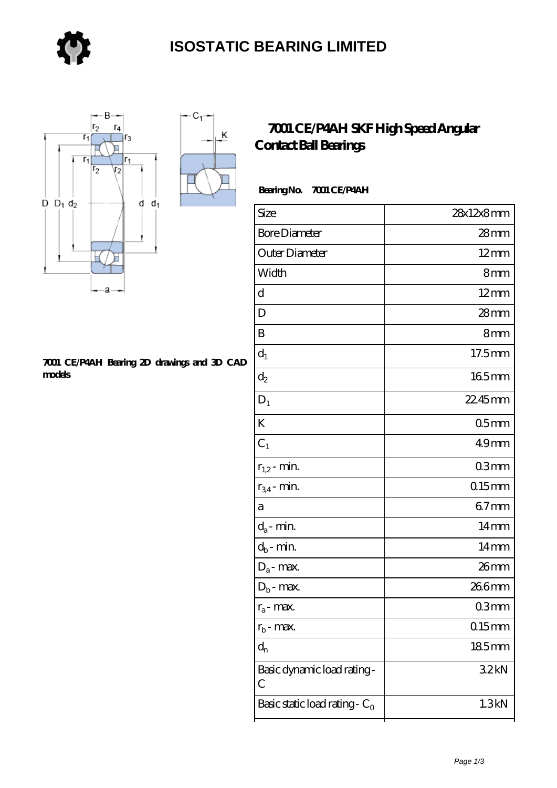

 $\overline{\mathsf{K}}$ 



#### **[7001 CE/P4AH Bearing 2D drawings and 3D CAD](https://store-isabelmarant.com/pic-931513.html) [models](https://store-isabelmarant.com/pic-931513.html)**

### **[7001 CE/P4AH SKF High Speed Angular](https://store-isabelmarant.com/skf-bearings/7001-ce-p4ah.html) [Contact Ball Bearings](https://store-isabelmarant.com/skf-bearings/7001-ce-p4ah.html)**

### **Bearing No. 7001 CE/P4AH**

| Size                             | 28x12x8mm        |
|----------------------------------|------------------|
| <b>Bore Diameter</b>             | 28mm             |
| Outer Diameter                   | $12 \text{mm}$   |
| Width                            | 8mm              |
| d                                | $12 \text{mm}$   |
| D                                | 28mm             |
| B                                | 8mm              |
| $d_1$                            | 17.5mm           |
| $d_2$                            | 165mm            |
| $D_1$                            | 22.45mm          |
| K                                | 05 <sub>mm</sub> |
| $C_1$                            | 49 <sub>mm</sub> |
| $r_{1,2}$ - min.                 | 03mm             |
| $r_{34}$ - min.                  | $0.15$ mm        |
| а                                | $67$ mm          |
| $d_a$ - min.                     | 14mm             |
| $d_b$ - min.                     | 14 <sub>mm</sub> |
| $D_a$ - max.                     | 26mm             |
| $D_b$ - max.                     | 266mm            |
| $r_a$ - max.                     | 03mm             |
| $r_{b}$ - max.                   | 015mm            |
| $d_n$                            | $185$ mm         |
| Basic dynamic load rating-<br>С  | 32kN             |
| Basic static load rating - $C_0$ | 1.3kN            |
|                                  |                  |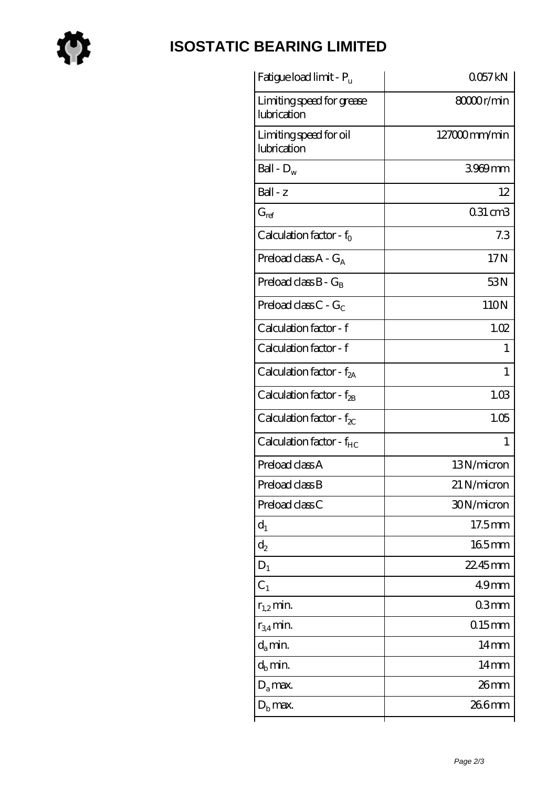

# **[ISOSTATIC BEARING LIMITED](https://store-isabelmarant.com)**

| Fatigue load limit - P <sub>u</sub>      | 0057kN           |
|------------------------------------------|------------------|
| Limiting speed for grease<br>lubrication | 8000r/min        |
| Limiting speed for oil<br>lubrication    | 127000mm/min     |
| Ball - $D_w$                             | 3969mm           |
| Ball - z                                 | 12               |
| $G_{ref}$                                | $031 \text{ cm}$ |
| Calculation factor - $f_0$               | 7.3              |
| Preload class $A - G_A$                  | 17N              |
| Preload class $B - G_B$                  | 53N              |
| Preload class $C - G_C$                  | 110N             |
| Calculation factor - f                   | 1.02             |
| Calculation factor - f                   | 1                |
| Calculation factor - $f_{2A}$            | 1                |
| Calculation factor - $f_{\rm 2B}$        | 1.03             |
| Calculation factor - $f_{\chi}$          | 1.05             |
| Calculation factor - f <sub>HC</sub>     | 1                |
| Preload class A                          | 13N/micron       |
| Preload class B                          | 21 N/micron      |
| Preload class C                          | 30N/micron       |
| $d_1$                                    | 17.5mm           |
| $\mathrm{d}_2$                           | 165mm            |
| $D_1$                                    | 22.45mm          |
| $C_1$                                    | 49 <sub>mm</sub> |
| $r_{1,2}$ min.                           | 03mm             |
| $r_{34}$ min.                            | $015$ mm         |
| $d_a$ min.                               | 14 <sub>mm</sub> |
| $d_b$ min.                               | $14 \text{mm}$   |
| $D_a$ max.                               | $26$ mm          |
| $D_{\rm b}$ max.                         | 266mm            |
|                                          |                  |